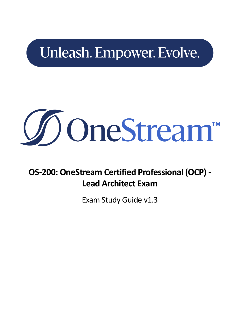## Unleash. Empower. Evolve.



**OS-200: OneStream Certified Professional (OCP) - Lead Architect Exam**

Exam Study Guide v1.3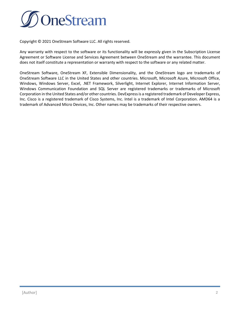

Copyright © 2021 OneStream Software LLC. All rights reserved.

Any warranty with respect to the software or its functionality will be expressly given in the Subscription License Agreement or Software License and Services Agreement between OneStream and the warrantee. This document does not itself constitute a representation or warranty with respect to the software or any related matter.

OneStream Software, OneStream XF, Extensible Dimensionality, and the OneStream logo are trademarks of OneStream Software LLC in the United States and other countries. Microsoft, Microsoft Azure, Microsoft Office, Windows, Windows Server, Excel, .NET Framework, Silverlight, Internet Explorer, Internet Information Server, Windows Communication Foundation and SQL Server are registered trademarks or trademarks of Microsoft Corporation in the United States and/or other countries. DevExpress is a registered trademark of Developer Express, Inc. Cisco is a registered trademark of Cisco Systems, Inc. Intel is a trademark of Intel Corporation. AMD64 is a trademark of Advanced Micro Devices, Inc. Other names may be trademarks of their respective owners.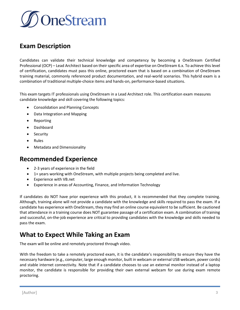

## **Exam Description**

Candidates can validate their technical knowledge and competency by becoming a OneStream Certified Professional (OCP) – Lead Architect based on their specific area of expertise on OneStream 6.x. To achieve this level of certification, candidates must pass this online, proctored exam that is based on a combination of OneStream training material, commonly referenced product documentation, and real-world scenarios. This hybrid exam is a combination of traditional multiple-choice items and hands-on, performance-based situations.

This exam targets IT professionals using OneStream in a Lead Architect role. This certification exam measures candidate knowledge and skill covering the following topics:

- Consolidation and Planning Concepts
- Data Integration and Mapping
- **Reporting**
- Dashboard
- Security
- Rules
- Metadata and Dimensionality

#### **Recommended Experience**

- 2-3 years of experience in the field
- 1+ years working with OneStream, with multiple projects being completed and live.
- Experience with VB.net
- Experience in areas of Accounting, Finance, and Information Technology

If candidates do NOT have prior experience with this product, it is recommended that they complete training. Although, training alone will not provide a candidate with the knowledge and skills required to pass the exam. If a candidate has experience with OneStream, they may find an online course equivalent to be sufficient. Be cautioned that attendance in a training course does NOT guarantee passage of a certification exam. A combination of training and successful, on-the-job experience are critical to providing candidates with the knowledge and skills needed to pass the exam.

## **What to Expect While Taking an Exam**

The exam will be online and remotely proctored through video.

With the freedom to take a remotely proctored exam, it is the candidate's responsibility to ensure they have the necessary hardware (e.g., computer, large enough monitor, built in webcam or external USB webcam, power cords) and stable internet connectivity. Note that if a candidate chooses to use an external monitor instead of a laptop monitor, the candidate is responsible for providing their own external webcam for use during exam remote proctoring.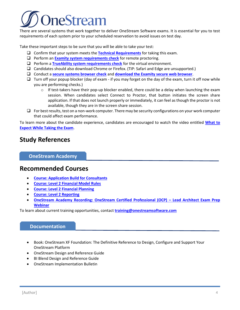# neStream

There are several systems that work together to deliver OneStream Software exams. It is essential for you to test requirements of each system prior to your scheduled reservation to avoid issues on test day.

Take these important steps to be sure that you will be able to take your test:

- ❑ Confirm that your system meets the **[Technical Requirements](https://f.hubspotusercontent30.net/hubfs/2020381/Website/Certification/ExamityTechnicalSuccess.pdf)** for taking this exam.
- ❑ Perform an **[Examity system requirements check](https://prod.examity.com/systemcheck/check.aspx)** for remote proctoring.
- ❑ Perform a **[TrueAbility system requirements check](https://app.trueability.com/compatibility)** for the virtual environment.
- ❑ Candidates should also download Chrome or Firefox. (TIP: Safari and Edge are unsupported.)
- ❑ Conduct a **[secure systems browser check](https://test.examity.com/ExamitySecureBrowser/SecureBrowser.aspx)** and **[download the Examity secure web browser](https://test.examity.com/ExamitySecureBrowser/SecureBrowser.aspx)**.
- $\Box$  Turn off your popup blocker (day of exam if you may forget on the day of the exam, turn it off now while you are performing checks.)
	- $\circ$  If test-takers have their pop-up blocker enabled, there could be a delay when launching the exam session. When candidates select Connect to Proctor, that button initiates the screen share application. If that does not launch properly or immediately, it can feel as though the proctor is not available, though they are in the screen share session.
- $\Box$  For best results, test on a non-work computer. There may be security configurations on your work computer that could affect exam performance.

To learn more about the candidate experience, candidates are encouraged to watch the video entitled **[What to](https://videos.onestreamsoftware.com/secret/68135353/eaac83747e5ebe58b7128658a3ba8dd8)  [Expect While Taking the Exam](https://videos.onestreamsoftware.com/secret/68135353/eaac83747e5ebe58b7128658a3ba8dd8)**.

## **Study References**

#### **OneStream Academy**

#### **Recommended Courses**

- **[Course: Application Build for Consultants](https://www.onestreamsoftware.com/services/training)**
- **[Course: Level 2 Financial Model Rules](https://www.onestreamsoftware.com/services/training)**
- **[Course: Level 2 Financial Planning](https://www.onestreamsoftware.com/services/training)**
- **[Course: Level 2 Reporting](https://www.onestreamsoftware.com/services/training)**
- **[OneStream Academy Recording: OneStream Certified Professional \(OCP\)](https://onestream.litmos.com/home/LearningPath/159693) – Lead Architect Exam Prep [Webinar](https://onestream.litmos.com/home/LearningPath/159693)**

To learn about current training opportunities, contact **[training@onestreamsoftware.com](mailto:training@onestreamsoftware.com)**

#### **Documentation**

- Book: OneStream XF Foundation: The Definitive Reference to Design, Configure and Support Your OneStream Platform
- OneStream Design and Reference Guide
- BI Blend Design and Reference Guide
- OneStream Implementation Bulletin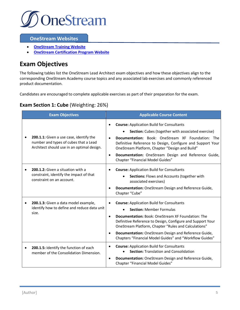

#### **OneStream Websites**

- **[OneStream Training Website](https://www.onestreamsoftware.com/services/training)**
- **[OneStream Certification](https://certification.onestreamsoftware.com/) Program Website**

## **Exam Objectives**

The following tables list the OneStream Lead Architect exam objectives and how these objectives align to the corresponding OneStream Academy course topics and any associated lab exercises and commonly referenced product documentation.

Candidates are encouraged to complete applicable exercises as part of their preparation for the exam.

#### **Exam Section 1: Cube** (Weighting: 26%)

| <b>Exam Objectives</b>                                                                                                                      | <b>Applicable Course Content</b>                                                                                                                                                                                                                                                                                                                                                                                   |  |
|---------------------------------------------------------------------------------------------------------------------------------------------|--------------------------------------------------------------------------------------------------------------------------------------------------------------------------------------------------------------------------------------------------------------------------------------------------------------------------------------------------------------------------------------------------------------------|--|
| 200.1.1: Given a use case, identify the<br>$\bullet$<br>number and types of cubes that a Lead<br>Architect should use in an optimal design. | <b>Course: Application Build for Consultants</b><br>$\bullet$<br>Section: Cubes (together with associated exercise)<br><b>Documentation:</b> Book: OneStream XF Foundation: The<br>Definitive Reference to Design, Configure and Support Your<br>OneStream Platform, Chapter "Design and Build"<br>Documentation: OneStream Design and Reference Guide,<br>$\bullet$<br>Chapter "Financial Model Guides"           |  |
| 200.1.2: Given a situation with a<br>constraint, identify the impact of that<br>constraint on an account.                                   | <b>Course: Application Build for Consultants</b><br>Sections: Flows and Accounts (together with<br>associated exercises)<br>Documentation: OneStream Design and Reference Guide,<br>Chapter "Cube"                                                                                                                                                                                                                 |  |
| 200.1.3: Given a data model example,<br>$\bullet$<br>identify how to define and reduce data unit<br>size.                                   | <b>Course: Application Build for Consultants</b><br><b>Section: Member Formulas</b><br><b>Documentation:</b> Book: OneStream XF Foundation: The<br>$\bullet$<br>Definitive Reference to Design, Configure and Support Your<br>OneStream Platform, Chapter "Rules and Calculations"<br>Documentation: OneStream Design and Reference Guide,<br>$\bullet$<br>Chapters "Financial Model Guides" and "Workflow Guides" |  |
| 200.1.5: Identify the function of each<br>$\bullet$<br>member of the Consolidation Dimension.                                               | <b>Course: Application Build for Consultants</b><br><b>Section: Translation and Consolidation</b><br>Documentation: OneStream Design and Reference Guide,<br>$\bullet$<br>Chapter "Financial Model Guides"                                                                                                                                                                                                         |  |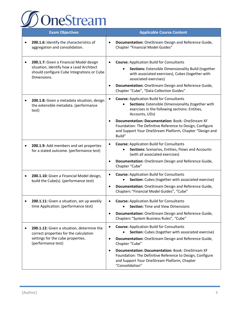

| <b>Exam Objectives</b>                                                                                                                                       | <b>Applicable Course Content</b>                                                                                                                                                                                                                                                                                                                                                       |
|--------------------------------------------------------------------------------------------------------------------------------------------------------------|----------------------------------------------------------------------------------------------------------------------------------------------------------------------------------------------------------------------------------------------------------------------------------------------------------------------------------------------------------------------------------------|
| 200.1.6: Identify the characteristics of<br>aggregation and consolidation.                                                                                   | Documentation: OneStream Design and Reference Guide,<br>$\bullet$<br>Chapter "Financial Model Guides"                                                                                                                                                                                                                                                                                  |
| 200.1.7: Given a Financial Model design<br>situation, identify how a Lead Architect<br>should configure Cube Integrations or Cube<br>Dimensions.             | <b>Course: Application Build for Consultants</b><br>Sections: Extensible Dimensionality Build (together<br>with associated exercises), Cubes (together with<br>associated exercises)<br>Documentation: OneStream Design and Reference Guide,<br>Chapter "Cube", "Data Collection Guides"                                                                                               |
| 200.1.8: Given a metadata situation, design<br>the extensible metadata. (performance<br>test)                                                                | <b>Course: Application Build for Consultants</b><br>Sections: Extensible Dimensionality (together with<br>exercises in the following sections: Entities,<br>Accounts, UDs)<br>Documentation: Documentation: Book: OneStream XF<br>Foundation: The Definitive Reference to Design, Configure<br>and Support Your OneStream Platform, Chapter "Design and                                |
| 200.1.9: Add members and set properties<br>$\bullet$<br>for a stated outcome. (performance test)                                                             | Build"<br><b>Course: Application Build for Consultants</b><br>Sections: Scenarios, Entities, Flows and Accounts<br>(with all associated exercises)<br>Documentation: OneStream Design and Reference Guide,<br>Chapter "Cube"                                                                                                                                                           |
| 200.1.10: Given a Financial Model design,<br>$\bullet$<br>build the Cube(s). (performance test)                                                              | <b>Course: Application Build for Consultants</b><br>Section: Cubes (together with associated exercise)<br>Documentation: OneStream Design and Reference Guide,<br>Chapters "Financial Model Guides", "Cube"                                                                                                                                                                            |
| 200.1.11: Given a situation, set up weekly<br>time Application. (performance test)                                                                           | <b>Course: Application Build for Consultants</b><br><b>Section: Time and View Dimensions</b><br>Documentation: OneStream Design and Reference Guide,<br>$\bullet$<br>Chapters "System Business Rules", "Cube"                                                                                                                                                                          |
| 200.1.12: Given a situation, determine the<br>$\bullet$<br>correct properties for the calculation<br>settings for the cube properties.<br>(performance test) | <b>Course: Application Build for Consultants</b><br>٠<br>Section: Cubes (together with associated exercise)<br>Documentation: OneStream Design and Reference Guide,<br>Chapter "Cube"<br>Documentation: Documentation: Book: OneStream XF<br>$\bullet$<br>Foundation: The Definitive Reference to Design, Configure<br>and Support Your OneStream Platform, Chapter<br>"Consolidation" |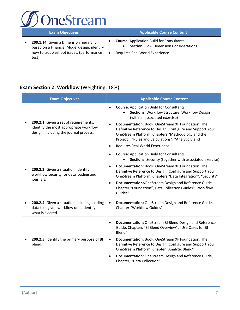

| <b>Exam Objectives</b>                                                                                                                    | <b>Applicable Course Content</b>                                                                                                    |
|-------------------------------------------------------------------------------------------------------------------------------------------|-------------------------------------------------------------------------------------------------------------------------------------|
| 200.1.14: Given a Dimension hierarchy<br>based on a Financial Model design, identify<br>how to troubleshoot issues. (performance<br>test) | <b>Course: Application Build for Consultants</b><br><b>Section: Flow Dimension Considerations</b><br>Requires Real World Experience |

#### **Exam Section 2: Workflow** (Weighting: 18%)

| <b>Exam Objectives</b>                                                                                      | <b>Applicable Course Content</b>                                                                                                                                                         |
|-------------------------------------------------------------------------------------------------------------|------------------------------------------------------------------------------------------------------------------------------------------------------------------------------------------|
| 200.2.1: Given a set of requirements,                                                                       | <b>Course: Application Build for Consultants</b><br>Sections: Workflow Structure, Workflow Design<br>(with all associated exercise)<br>Documentation: Book: OneStream XF Foundation: The |
| identify the most appropriate workflow<br>design, including the journal process.                            | Definitive Reference to Design, Configure and Support Your<br>OneStream Platform, Chapters "Methodology and the<br>Project", "Rules and Calculations", "Analytic Blend"                  |
|                                                                                                             | Requires Real World Experience<br>$\bullet$                                                                                                                                              |
|                                                                                                             | <b>Course: Application Build for Consultants</b><br>$\bullet$<br><b>Sections:</b> Security (together with associated exercise)                                                           |
| 200.2.3: Given a situation, identify<br>workflow security for data loading and<br>journals.                 | <b>Documentation:</b> Book: OneStream XF Foundation: The<br>Definitive Reference to Design, Configure and Support Your<br>OneStream Platform, Chapters "Data Integration", "Security"    |
|                                                                                                             | Documentation:-OneStream Design and Reference Guide,<br>Chapter "Foundation", Data Collection Guides", Workflow<br>Guides"                                                               |
| 200.2.4: Given a situation including loading<br>data to a given workflow unit, identify<br>what is cleared. | Documentation: OneStream Design and Reference Guide,<br>$\bullet$<br>Chapter "Workflow Guides"                                                                                           |
|                                                                                                             | Documentation: OneStream BI Blend Design and Reference<br>Guide, Chapters "BI Blend Overview", "Use Cases for BI<br>Blend"                                                               |
| 200.2.5: Identify the primary purpose of BI<br>blend.                                                       | Documentation: Book: OneStream XF Foundation: The<br>$\bullet$<br>Definitive Reference to Design, Configure and Support Your<br>OneStream Platform, Chapter "Analytic Blend"             |
|                                                                                                             | Documentation: OneStream Design and Reference Guide,<br>Chapter, "Data Collection"                                                                                                       |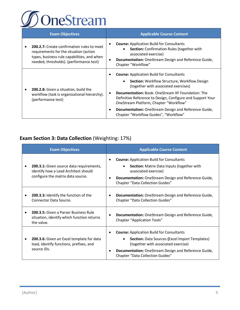

| <b>Exam Objectives</b> |                                                                                                                                                                                | <b>Applicable Course Content</b> |                                                                                                                                                                                                                                                                                                                                                                                                                                  |
|------------------------|--------------------------------------------------------------------------------------------------------------------------------------------------------------------------------|----------------------------------|----------------------------------------------------------------------------------------------------------------------------------------------------------------------------------------------------------------------------------------------------------------------------------------------------------------------------------------------------------------------------------------------------------------------------------|
|                        | 200.2.7: Create confirmation rules to meet<br>requirements for the situation (action<br>types, business rule capabilities, and when<br>needed, thresholds). (performance test) |                                  | <b>Course:</b> Application Build for Consultants<br>Section: Confirmation Rules (together with<br>associated exercise)<br>Documentation: OneStream Design and Reference Guide,<br>Chapter "Workflow"                                                                                                                                                                                                                             |
|                        | <b>200.2.8:</b> Given a situation, build the<br>workflow (task is organizational hierarchy).<br>(performance test)                                                             |                                  | <b>Course:</b> Application Build for Consultants<br><b>Section:</b> Workflow Structure, Workflow Design<br>٠<br>(together with associated exercises)<br><b>Documentation:</b> Book: OneStream XF Foundation: The<br>Definitive Reference to Design, Configure and Support Your<br>OneStream Platform, Chapter "Workflow"<br><b>Documentation:</b> OneStream Design and Reference Guide,<br>Chapter "Workflow Guides", "Workflow" |

## **Exam Section 3: Data Collection** (Weighting: 17%)

| <b>Exam Objectives</b>                                                                                                       | <b>Applicable Course Content</b>                                                                                                                                                                                                                               |
|------------------------------------------------------------------------------------------------------------------------------|----------------------------------------------------------------------------------------------------------------------------------------------------------------------------------------------------------------------------------------------------------------|
| <b>200.3.1:</b> Given source data requirements,<br>identify how a Lead Architect should<br>configure the matrix data source. | <b>Course:</b> Application Build for Consultants<br>٠<br>Section: Matrix Data Inputs (together with<br>associated exercise)<br>Documentation: OneStream Design and Reference Guide,<br>$\bullet$<br>Chapter "Data Collection Guides"                           |
| 200.3.3: Identify the function of the<br>Connector Data Source.                                                              | Documentation: OneStream Design and Reference Guide,<br>$\bullet$<br>Chapter "Data Collection Guides"                                                                                                                                                          |
| 200.3.5: Given a Parser Business Rule<br>situation, identify which function returns<br>the value.                            | Documentation: OneStream Design and Reference Guide,<br>$\bullet$<br><b>Chapter "Application Tools"</b>                                                                                                                                                        |
| 200.3.6: Given an Excel template for data<br>load, identify functions, prefixes, and<br>source IDs.                          | <b>Course: Application Build for Consultants</b><br>$\bullet$<br><b>Section: Data Sources (Excel Import Templates)</b><br>(together with associated exercise)<br>Documentation: OneStream Design and Reference Guide,<br>٠<br>Chapter "Data Collection Guides" |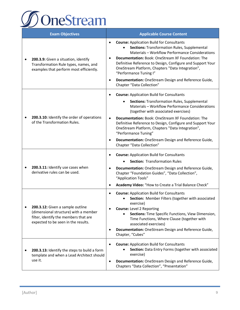

|   | <b>Exam Objectives</b>                                                                                                                                    | <b>Applicable Course Content</b>                                                                                                                                                                                                                                                                                                                                                           |  |
|---|-----------------------------------------------------------------------------------------------------------------------------------------------------------|--------------------------------------------------------------------------------------------------------------------------------------------------------------------------------------------------------------------------------------------------------------------------------------------------------------------------------------------------------------------------------------------|--|
| ٠ | 200.3.9: Given a situation, identify<br>Transformation Rule types, names, and<br>examples that perform most efficiently.                                  | <b>Course: Application Build for Consultants</b><br>$\bullet$<br>Sections: Transformation Rules, Supplemental<br>Materials - Workflow Performance Considerations<br><b>Documentation: Book: OneStream XF Foundation: The</b><br>$\bullet$<br>Definitive Reference to Design, Configure and Support Your<br>OneStream Platform, Chapters "Data Integration",<br>"Performance Tuning I"      |  |
|   |                                                                                                                                                           | Documentation: OneStream Design and Reference Guide,<br>$\bullet$<br>Chapter "Data Collection"                                                                                                                                                                                                                                                                                             |  |
|   | 200.3.10: Identify the order of operations<br>of the Transformation Rules.                                                                                | <b>Course: Application Build for Consultants</b><br><b>Sections: Transformation Rules, Supplemental</b><br>Materials - Workflow Performance Considerations                                                                                                                                                                                                                                 |  |
|   |                                                                                                                                                           | (together with associated exercises)<br><b>Documentation:</b> Book: OneStream XF Foundation: The<br>$\bullet$<br>Definitive Reference to Design, Configure and Support Your                                                                                                                                                                                                                |  |
|   |                                                                                                                                                           | OneStream Platform, Chapters "Data Integration",<br>"Performance Tuning"<br>Documentation: OneStream Design and Reference Guide,<br>$\bullet$<br>Chapter "Data Collection"                                                                                                                                                                                                                 |  |
|   |                                                                                                                                                           |                                                                                                                                                                                                                                                                                                                                                                                            |  |
| ٠ | 200.3.11: Identify use cases when<br>derivative rules can be used.                                                                                        | <b>Course: Application Build for Consultants</b><br>٠<br><b>Section: Transformation Rules</b><br>Documentation: OneStream Design and Reference Guide,<br>$\bullet$<br>Chapter "Foundation Guides", "Data Collection",<br>"Application Tools"                                                                                                                                               |  |
|   |                                                                                                                                                           | Academy Video: "How to Create a Trial Balance Check"<br>$\bullet$                                                                                                                                                                                                                                                                                                                          |  |
|   | 200.3.12: Given a sample outline<br>(dimensional structure) with a member<br>filter, identify the members that are<br>expected to be seen in the results. | <b>Course: Application Build for Consultants</b><br>$\bullet$<br>Section: Member Filters (together with associated<br>exercise)<br><b>Course: Level 2 Reporting</b><br>Sections: Time Specific Functions, View Dimension,<br>Time Functions, Where Clause (together with<br>associated exercises)<br>Documentation: OneStream Design and Reference Guide,<br>$\bullet$<br>Chapter, "Cubes" |  |
| ٠ | 200.3.13: Identify the steps to build a form<br>template and when a Lead Architect should<br>use it.                                                      | <b>Course: Application Build for Consultants</b><br>Section: Data Entry Forms (together with associated<br>exercise)<br>Documentation: OneStream Design and Reference Guide,<br>$\bullet$<br>Chapters "Data Collection", "Presentation"                                                                                                                                                    |  |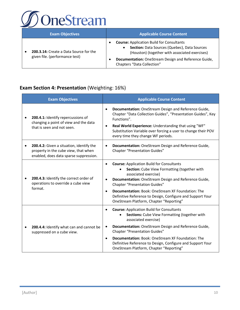

| <b>Exam Objectives</b>                                                   | <b>Applicable Course Content</b>                                                                                                                                                                                                                           |  |
|--------------------------------------------------------------------------|------------------------------------------------------------------------------------------------------------------------------------------------------------------------------------------------------------------------------------------------------------|--|
| 200.3.14: Create a Data Source for the<br>given file. (performance test) | <b>Course: Application Build for Consultants</b><br>٠<br>Section: Data Sources (Quebec), Data Sources<br>$\bullet$<br>(Houston) (together with associated exercises)<br>Documentation: OneStream Design and Reference Guide,<br>Chapters "Data Collection" |  |

#### **Exam Section 4: Presentation** (Weighting: 16%)

| <b>Exam Objectives</b>                                                                                                     | <b>Applicable Course Content</b>                                                                                                                                                                                                                                                                                                                                                                                      |  |
|----------------------------------------------------------------------------------------------------------------------------|-----------------------------------------------------------------------------------------------------------------------------------------------------------------------------------------------------------------------------------------------------------------------------------------------------------------------------------------------------------------------------------------------------------------------|--|
| 200.4.1: Identify repercussions of<br>changing a point of view and the data<br>that is seen and not seen.                  | Documentation: OneStream Design and Reference Guide,<br>$\bullet$<br>Chapter "Data Collection Guides", "Presentation Guides", Key<br>Functions".<br>Real World Experience: Understanding that using "WF"<br>$\bullet$<br>Substitution Variable over forcing a user to change their POV<br>every time they change WF periods.                                                                                          |  |
| 200.4.2: Given a situation, identify the<br>property in the cube view, that when<br>enabled, does data sparse suppression. | Documentation: OneStream Design and Reference Guide,<br>$\bullet$<br><b>Chapter "Presentation Guides"</b>                                                                                                                                                                                                                                                                                                             |  |
| 200.4.3: Identify the correct order of<br>operations to override a cube view<br>format.                                    | <b>Course: Application Build for Consultants</b><br>Section: Cube View Formatting (together with<br>associated exercise)<br>Documentation: OneStream Design and Reference Guide,<br><b>Chapter "Presentation Guides"</b><br><b>Documentation:</b> Book: OneStream XF Foundation: The<br>$\bullet$<br>Definitive Reference to Design, Configure and Support Your<br>OneStream Platform, Chapter "Reporting"            |  |
| 200.4.4: Identify what can and cannot be<br>suppressed on a cube view.                                                     | <b>Course: Application Build for Consultants</b><br>٠<br>Sections: Cube View Formatting (together with<br>associated exercise)<br>Documentation: OneStream Design and Reference Guide,<br>٠<br><b>Chapter "Presentation Guides"</b><br><b>Documentation: Book: OneStream XF Foundation: The</b><br>$\bullet$<br>Definitive Reference to Design, Configure and Support Your<br>OneStream Platform, Chapter "Reporting" |  |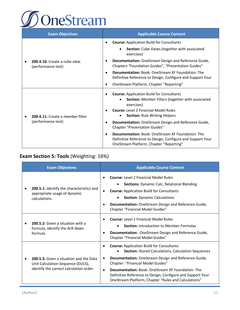

| <b>Exam Objectives</b>                              | <b>Applicable Course Content</b>                                                                                                                                                                                              |  |
|-----------------------------------------------------|-------------------------------------------------------------------------------------------------------------------------------------------------------------------------------------------------------------------------------|--|
|                                                     | <b>Course: Application Build for Consultants</b>                                                                                                                                                                              |  |
|                                                     | Section: Cube Views (together with associated<br>exercises)                                                                                                                                                                   |  |
| 200.4.10: Create a cube view.<br>(performance test) | Documentation: OneStream Design and Reference Guide,<br>Chapters "Foundation Guides", "Presentation Guides"                                                                                                                   |  |
|                                                     | <b>Documentation:</b> Book: OneStream XF Foundation: The<br>$\bullet$<br>Definitive Reference to Design, Configure and Support Your                                                                                           |  |
|                                                     | OneStream Platform, Chapter "Reporting"                                                                                                                                                                                       |  |
| 200.4.11: Create a member filter.                   | <b>Course: Application Build for Consultants</b><br>Section: Member Filters (together with associated<br>$\bullet$<br>exercises)<br><b>Course: Level 2 Financial Model Rules</b><br><b>Section: Rule Writing Helpers</b><br>٠ |  |
| (performance test)                                  | Documentation: OneStream Design and Reference Guide,<br><b>Chapter "Presentation Guides"</b>                                                                                                                                  |  |
|                                                     | <b>Documentation:</b> Book: OneStream XF Foundation: The<br>Definitive Reference to Design, Configure and Support Your<br>OneStream Platform, Chapter "Reporting"                                                             |  |

## **Exam Section 5: Tools** (Weighting: 16%)

| <b>Exam Objectives</b>                                                                                                  | <b>Applicable Course Content</b>                                                                                                                                                                                                                                                                                                                                                                                        |  |
|-------------------------------------------------------------------------------------------------------------------------|-------------------------------------------------------------------------------------------------------------------------------------------------------------------------------------------------------------------------------------------------------------------------------------------------------------------------------------------------------------------------------------------------------------------------|--|
| <b>200.5.1:</b> Identify the characteristics and<br>appropriate usage of dynamic<br>calculations.                       | <b>Course:</b> Level 2 Financial Model Rules<br><b>Sections:</b> Dynamic Calc, Relational Blending<br><b>Course: Application Build for Consultants</b><br><b>Section: Dynamic Calculations</b><br>Documentation: OneStream Design and Reference Guide,<br>Chapter "Financial Model Guides"                                                                                                                              |  |
| 200.5.2: Given a situation with a<br>formula, identify the drill down<br>formula.                                       | <b>Course:</b> Level 2 Financial Model Rules<br>$\bullet$<br><b>Section:</b> Introduction to Member Formulas<br>Documentation: OneStream Design and Reference Guide,<br>٠<br><b>Chapter "Financial Model Guides"</b>                                                                                                                                                                                                    |  |
| 200.5.3: Given a situation and the Data<br>Unit Calculation Sequence (DUCS),<br>identify the correct calculation order. | <b>Course: Application Build for Consultants</b><br><b>Section: Stored Calculations, Calculation Sequences</b><br>Documentation: OneStream Design and Reference Guide,<br>$\bullet$<br>Chapter: "Financial Model Guides"<br><b>Documentation: Book: OneStream XF Foundation: The</b><br>$\bullet$<br>Definitive Reference to Design, Configure and Support Your<br>OneStream Platform, Chapter "Rules and Calculations" |  |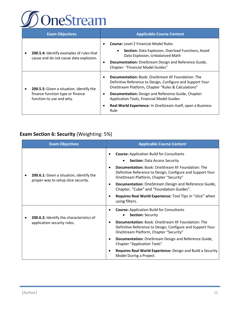

| <b>Exam Objectives</b> |                                                                                                                 | <b>Applicable Course Content</b> |                                                                                                                                                                                                                                                                                                                                                                       |
|------------------------|-----------------------------------------------------------------------------------------------------------------|----------------------------------|-----------------------------------------------------------------------------------------------------------------------------------------------------------------------------------------------------------------------------------------------------------------------------------------------------------------------------------------------------------------------|
|                        | 200.5.4: Identify examples of rules that<br>cause and do not cause data explosion.                              | ٠                                | <b>Course:</b> Level 2 Financial Model Rules<br>Section: Data Explosion, Overload Functions, Avoid<br>$\bullet$<br>Data Explosion, Unbalanced Math<br>Documentation: OneStream Design and Reference Guide,<br>Chapter: "Financial Model Guides"                                                                                                                       |
|                        | <b>200.5.5:</b> Given a situation, identify the<br>finance function type or finance<br>function to use and why. |                                  | <b>Documentation:</b> Book: OneStream XF Foundation: The<br>Definitive Reference to Design, Configure and Support Your<br>OneStream Platform, Chapter "Rules & Calculations"<br><b>Documentation:</b> Design and Reference Guide, Chapter:<br><b>Application Tools, Financial Model Guides</b><br>Real World Experience: In OneStream itself, open a Business<br>Rule |

## **Exam Section 6: Security** (Weighting: 5%)

| <b>Exam Objectives</b>                                                          | <b>Applicable Course Content</b>                                                                                                                                                                                                                                                                                                                                                                                                                        |  |  |
|---------------------------------------------------------------------------------|---------------------------------------------------------------------------------------------------------------------------------------------------------------------------------------------------------------------------------------------------------------------------------------------------------------------------------------------------------------------------------------------------------------------------------------------------------|--|--|
| 200.6.1: Given a situation, identify the<br>proper way to setup slice security. | <b>Course: Application Build for Consultants</b><br><b>Section: Data Access Security</b><br><b>Documentation:</b> Book: OneStream XF Foundation: The<br>Definitive Reference to Design, Configure and Support Your<br>OneStream Platform, Chapter "Security"<br>Documentation: OneStream Design and Reference Guide,<br>٠<br>Chapter, "Cube" and "Foundation Guides".<br>Requires Real World Experience: Tool Tips in "slice" when<br>using filters.    |  |  |
| 200.6.2: Identify the characteristics of<br>application security roles.         | <b>Course: Application Build for Consultants</b><br>٠<br><b>Section: Security</b><br><b>Documentation:</b> Book: OneStream XF Foundation: The<br>Definitive Reference to Design, Configure and Support Your<br>OneStream Platform, Chapter "Security"<br>Documentation: OneStream Design and Reference Guide,<br>٠<br><b>Chapter "Application Tools"</b><br>Requires Real World Experience: Design and Build a Security<br>٠<br>Model During a Project. |  |  |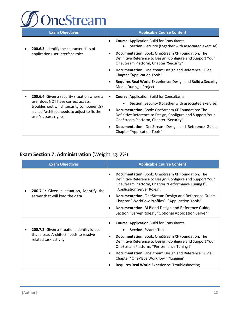

| <b>Exam Objectives</b>                                                                                                                                                                                | <b>Applicable Course Content</b>                                                                                                                                                                                                                                                                                                                                                          |  |  |
|-------------------------------------------------------------------------------------------------------------------------------------------------------------------------------------------------------|-------------------------------------------------------------------------------------------------------------------------------------------------------------------------------------------------------------------------------------------------------------------------------------------------------------------------------------------------------------------------------------------|--|--|
| <b>200.6.3:</b> Identify the characteristics of<br>application user interface roles.                                                                                                                  | <b>Course: Application Build for Consultants</b><br>Section: Security (together with associated exercise)                                                                                                                                                                                                                                                                                 |  |  |
|                                                                                                                                                                                                       | <b>Documentation:</b> Book: OneStream XF Foundation: The<br>Definitive Reference to Design, Configure and Support Your<br>OneStream Platform, Chapter "Security"                                                                                                                                                                                                                          |  |  |
|                                                                                                                                                                                                       | Documentation: OneStream Design and Reference Guide,<br><b>Chapter "Application Tools"</b>                                                                                                                                                                                                                                                                                                |  |  |
|                                                                                                                                                                                                       | Requires Real World Experience: Design and Build a Security<br>Model During a Project.                                                                                                                                                                                                                                                                                                    |  |  |
| 200.6.4: Given a security situation where a<br>user does NOT have correct access,<br>troubleshoot which security component(s)<br>a Lead Architect needs to adjust to fix the<br>user's access rights. | <b>Course: Application Build for Consultants</b><br><b>Section:</b> Security (together with associated exercise)<br><b>Documentation:</b> Book: OneStream XF Foundation: The<br>Definitive Reference to Design, Configure and Support Your<br>OneStream Platform, Chapter "Security"<br><b>Documentation:</b> OneStream Design and Reference Guide,<br><b>Chapter "Application Tools"</b> |  |  |

## **Exam Section 7: Administration** (Weighting: 2%)

| <b>Exam Objectives</b>                                                                                          | <b>Applicable Course Content</b>                                                                                                                                                                                  |  |
|-----------------------------------------------------------------------------------------------------------------|-------------------------------------------------------------------------------------------------------------------------------------------------------------------------------------------------------------------|--|
| 200.7.1: Given a situation, identify the<br>server that will load the data.                                     | <b>Documentation:</b> Book: OneStream XF Foundation: The<br>٠<br>Definitive Reference to Design, Configure and Support Your<br>OneStream Platform, Chapter "Performance Tuning I",<br>"Application Server Roles". |  |
|                                                                                                                 | Documentation: OneStream Design and Reference Guide,<br>٠<br>Chapter "Workflow Profiles", "Application Tools"                                                                                                     |  |
|                                                                                                                 | Documentation: BI Blend Design and Reference Guide,<br>$\bullet$<br>Section "Server Roles", "Optional Application Server"                                                                                         |  |
| 200.7.2: Given a situation, identify issues<br>that a Lead Architect needs to resolve<br>related task activity. | <b>Course: Application Build for Consultants</b>                                                                                                                                                                  |  |
|                                                                                                                 | <b>Section: System Tab</b>                                                                                                                                                                                        |  |
|                                                                                                                 | <b>Documentation:</b> Book: OneStream XF Foundation: The<br>٠<br>Definitive Reference to Design, Configure and Support Your<br>OneStream Platform, "Performance Tuning I"                                         |  |
|                                                                                                                 | <b>Documentation:</b> OneStream Design and Reference Guide,<br>$\bullet$<br>Chapter "OnePlace Workflow", "Logging"                                                                                                |  |
|                                                                                                                 | <b>Requires Real World Experience: Troubleshooting</b>                                                                                                                                                            |  |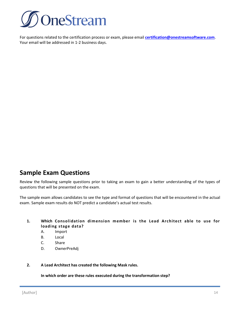

For questions related to the certification process or exam, please email **[certification@onestreamsoftware.com](mailto:certification@onestreamsoftware.com)**. Your email will be addressed in 1-2 business days.

## **Sample Exam Questions**

Review the following sample questions prior to taking an exam to gain a better understanding of the types of questions that will be presented on the exam.

The sample exam allows candidates to see the type and format of questions that will be encountered in the actual exam. Sample exam results do NOT predict a candidate's actual test results.

**1. Which Consolidation dimension member is the Lead Architect able to use for loading stage data?**

- A. Import
- B. Local
- C. Share
- D. OwnerPreAdj
- **2. A Lead Architect has created the following Mask rules.**

**In which order are these rules executed during the transformation step?**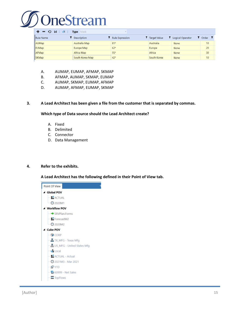

| $\sim$ $\sim$<br>$\mathbf{H}$<br>$\sqrt{x}$<br>Mask<br><b>Type</b><br>$\equiv$ |                    |                 |                       |                           |                |  |  |
|--------------------------------------------------------------------------------|--------------------|-----------------|-----------------------|---------------------------|----------------|--|--|
| Rule Name                                                                      | <b>Description</b> | Rule Expression | <b>T</b> Target Value | <b>T</b> Logical Operator | <b>T</b> Order |  |  |
| AUMap                                                                          | Australia Map      | $81*$           | Australia             | None                      | 10             |  |  |
| <b>EUMap</b>                                                                   | <b>Europe Map</b>  | $62*$           | Europe                | None                      | 20             |  |  |
| AFMap                                                                          | Africa Map         | $55*$           | Africa                | <b>None</b>               | 30             |  |  |
| <b>SKMap</b>                                                                   | South Korea Map    | $42*$           | South Korea           | None                      | 10             |  |  |

- A. AUMAP, EUMAP, AFMAP, SKMAP
- B. AFMAP, AUMAP, SKMAP, EUMAP
- C. AUMAP, SKMAP, EUMAP, AFMAP
- D. AUMAP, AFMAP, EUMAP, SKMAP

#### **3. A Lead Architect has been given a file from the customer that is separated by commas.**

**Which type of Data source should the Lead Architect create?**

- A. Fixed
- B. Delimited
- C. Connector
- D. Data Management

#### **4. Refer to the exhibits.**

**A Lead Architect has the following defined in their Point of View tab.** 

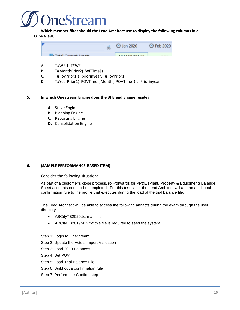

**Which member filter should the Lead Architect use to display the following columns in a Cube View.** 



- A. T#WF-1, T#WF
- B. T#MonthPrior2(|WFTime|)
- C. T#PovPrior1.allpriorinyear, T#PovPrior1
- D. T#YearPrior1(|POVTime|)Month(|POVTime|).allPriorinyear

#### **5. In which OneStream Engine does the BI Blend Engine reside?**

- **A.** Stage Engine
- **B.** Planning Engine
- **C.** Reporting Engine
- **D.** Consolidation Engine

#### **6. (SAMPLE PERFORMANCE-BASED ITEM)**

Consider the following situation:

As part of a customer's close process, roll-forwards for PP&E (Plant, Property & Equipment) Balance Sheet accounts need to be completed. For this test case, the Lead Architect will add an additional confirmation rule to the profile that executes during the load of the trial balance file.

The Lead Architect will be able to access the following artifacts during the exam through the user directory.

- ABCityTB2020.txt main file
- ABCityTB2019M12.txt this file is required to seed the system
- Step 1: Login to OneStream
- Step 2: Update the Actual Import Validation
- Step 3: Load 2019 Balances
- Step 4: Set POV
- Step 5: Load Trial Balance File
- Step 6: Build out a confirmation rule
- Step 7: Perform the Confirm step